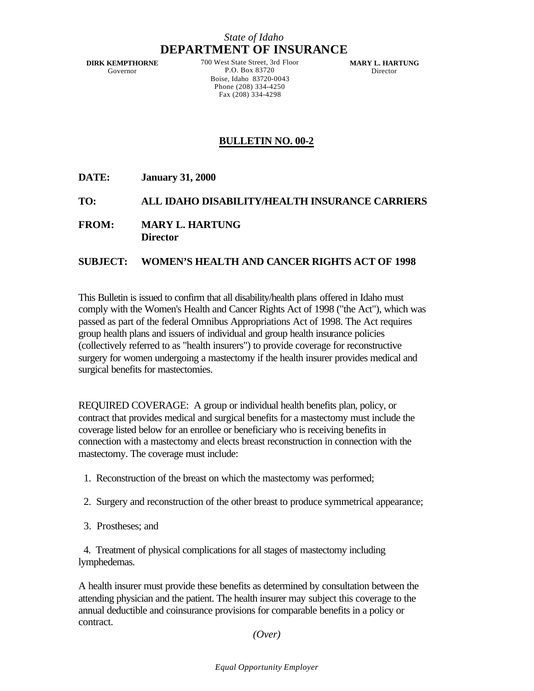## *State of Idaho* **DEPARTMENT OF INSURANCE**

**DIRK KEMPTHORNE** Governor

700 West State Street, 3rd Floor P.O. Box 83720 Boise, Idaho 83720-0043 Phone (208) 334-4250 Fax (208) 334-4298

**MARY L. HARTUNG** Director

## **BULLETIN NO. 00-2**

**DATE: January 31, 2000**

## **TO: ALL IDAHO DISABILITY/HEALTH INSURANCE CARRIERS**

**FROM: MARY L. HARTUNG Director**

## **SUBJECT: WOMEN'S HEALTH AND CANCER RIGHTS ACT OF 1998**

This Bulletin is issued to confirm that all disability/health plans offered in Idaho must comply with the Women's Health and Cancer Rights Act of 1998 ("the Act"), which was passed as part of the federal Omnibus Appropriations Act of 1998. The Act requires group health plans and issuers of individual and group health insurance policies (collectively referred to as "health insurers") to provide coverage for reconstructive surgery for women undergoing a mastectomy if the health insurer provides medical and surgical benefits for mastectomies.

REQUIRED COVERAGE: A group or individual health benefits plan, policy, or contract that provides medical and surgical benefits for a mastectomy must include the coverage listed below for an enrollee or beneficiary who is receiving benefits in connection with a mastectomy and elects breast reconstruction in connection with the mastectomy. The coverage must include:

- 1. Reconstruction of the breast on which the mastectomy was performed;
- 2. Surgery and reconstruction of the other breast to produce symmetrical appearance;
- 3. Prostheses; and

 4. Treatment of physical complications for all stages of mastectomy including lymphedemas.

A health insurer must provide these benefits as determined by consultation between the attending physician and the patient. The health insurer may subject this coverage to the annual deductible and coinsurance provisions for comparable benefits in a policy or contract.

*(Over)*

*Equal Opportunity Employer*